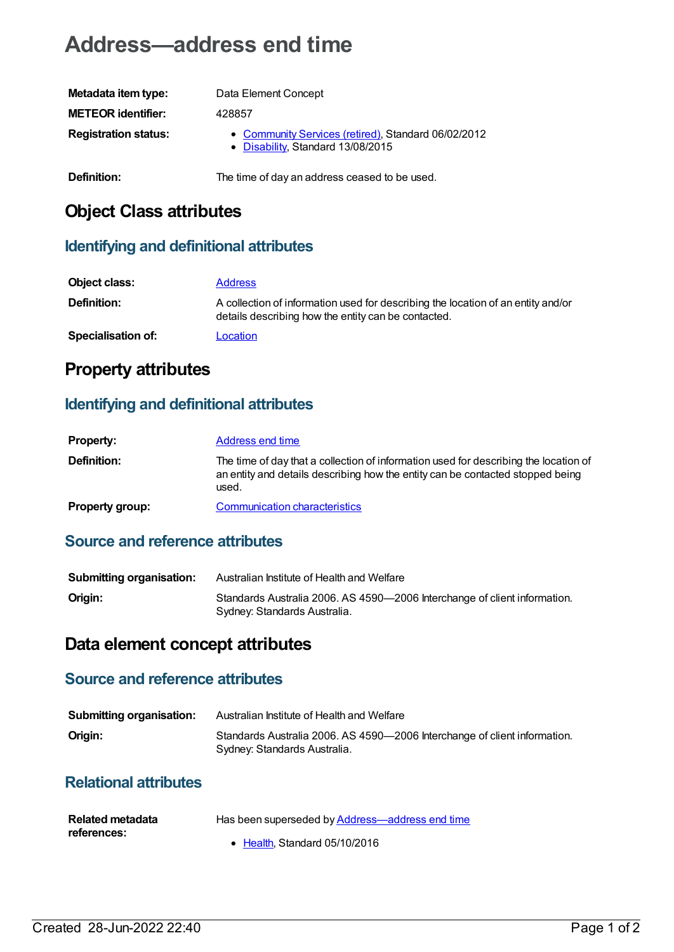# **Address—address end time**

| Metadata item type:         | Data Element Concept                                                                     |
|-----------------------------|------------------------------------------------------------------------------------------|
| <b>METEOR identifier:</b>   | 428857                                                                                   |
| <b>Registration status:</b> | • Community Services (retired), Standard 06/02/2012<br>• Disability, Standard 13/08/2015 |
| Definition:                 | The time of day an address ceased to be used.                                            |

# **Object Class attributes**

### **Identifying and definitional attributes**

| Object class:             | <b>Address</b>                                                                                                                          |
|---------------------------|-----------------------------------------------------------------------------------------------------------------------------------------|
| <b>Definition:</b>        | A collection of information used for describing the location of an entity and/or<br>details describing how the entity can be contacted. |
| <b>Specialisation of:</b> | Location                                                                                                                                |

## **Property attributes**

### **Identifying and definitional attributes**

| <b>Property:</b>       | Address end time                                                                                                                                                                |
|------------------------|---------------------------------------------------------------------------------------------------------------------------------------------------------------------------------|
| <b>Definition:</b>     | The time of day that a collection of information used for describing the location of<br>an entity and details describing how the entity can be contacted stopped being<br>used. |
| <b>Property group:</b> | <b>Communication characteristics</b>                                                                                                                                            |

## **Source and reference attributes**

| Submitting organisation: | Australian Institute of Health and Welfare                                                                |
|--------------------------|-----------------------------------------------------------------------------------------------------------|
| Origin:                  | Standards Australia 2006. AS 4590-2006 Interchange of client information.<br>Sydney: Standards Australia. |

## **Data element concept attributes**

#### **Source and reference attributes**

| <b>Submitting organisation:</b> | Australian Institute of Health and Welfare                                                                |
|---------------------------------|-----------------------------------------------------------------------------------------------------------|
| Origin:                         | Standards Australia 2006. AS 4590-2006 Interchange of client information.<br>Sydney: Standards Australia. |

#### **Relational attributes**

| <b>Related metadata</b> | Has been superseded by <b>Address-address end time</b> |
|-------------------------|--------------------------------------------------------|
| references:             |                                                        |
|                         | • Health. Standard 05/10/2016                          |